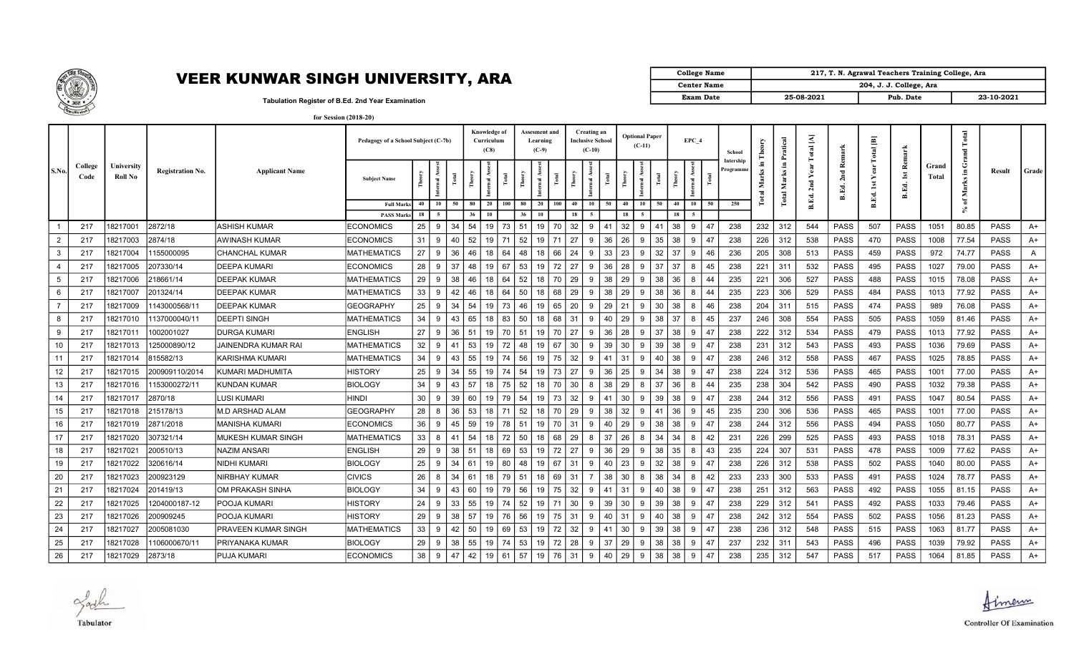

## VEER KUNWAR SINGH UNIVERSITY, ARA

| College Name       |            | 217, T. N. Agrawal Teachers Training College, Ara |            |
|--------------------|------------|---------------------------------------------------|------------|
| <b>Center Name</b> |            | 204, J. J. College, Ara                           |            |
| <b>Exam Date</b>   | 25-08-2021 | Pub. Date                                         | 23-10-2021 |

Tabulation Register of B.Ed. 2nd Year Examination

|       |                 |                              |                          |                        | Pedagogy of a School Subject (C-7b)    |          |    |    |          | Knowledge of<br>Curriculum<br>(C8) |                 | <b>Assesment and</b><br>Learning<br>$(C-9)$ |     |            | Creating an<br><b>Inclusive School</b><br>$(C-10)$ |      | <b>Optional Paper</b> | $(C-11)$ |    |          | EPC 4    | School                 |     | Pratical                             | Ξ<br>Total |              | $\Xi$<br>otal | ÷                          |                |              |             |       |  |
|-------|-----------------|------------------------------|--------------------------|------------------------|----------------------------------------|----------|----|----|----------|------------------------------------|-----------------|---------------------------------------------|-----|------------|----------------------------------------------------|------|-----------------------|----------|----|----------|----------|------------------------|-----|--------------------------------------|------------|--------------|---------------|----------------------------|----------------|--------------|-------------|-------|--|
| S.No. | College<br>Code | University<br><b>Roll No</b> | Registration No.         | <b>Applicant Name</b>  | <b>Subject Name</b>                    |          | ă  |    |          |                                    |                 | -ä                                          |     |            |                                                    |      |                       |          |    |          |          | Intershir<br>Programme |     | $\blacksquare$<br>78<br>Mar<br>Total | 2nd<br>Ed. | Ñ.<br>됳<br>뎤 | B.Ed.         | Rem<br><b>ist</b><br>B.Ed. | Grand<br>Total | Е<br>Σ<br>ិ៍ | Result      | Grade |  |
|       |                 |                              |                          |                        | <b>Full Marks</b><br><b>PASS Marks</b> | 40<br>18 | 10 | 50 | 80<br>36 | 20<br>10                           | 100<br>80<br>36 | 20<br>10                                    | 100 | 40<br>18   | 10                                                 | 50   | 40<br>18              | 10       | 50 | 40<br>18 | 10<br>50 | 250                    |     |                                      |            |              |               |                            |                |              |             |       |  |
|       | 217             | 18217001                     | 2872/18                  | ASHISH KUMAR           | <b>ECONOMICS</b>                       | 25       | 9  | 34 | 54       | 19                                 | 51<br>73        | - 19                                        | 70  | 32         | 9                                                  | 41   | 32                    | <b>Q</b> | 41 | 38       | 9<br>47  | 238                    | 232 | 312                                  | 544        | <b>PASS</b>  | 507           | <b>PASS</b>                | 1051           | 80.85        | <b>PASS</b> | A+    |  |
|       | 217             | 18217003                     | 2874/18                  | AWINASH KUMAR          | <b>ECONOMICS</b>                       | 31       | 9  | 40 | 52       | 19                                 | 52<br>71        | 19                                          | 71  | 27         | 9                                                  | 36   | 26                    | 9        | 35 | 38       | 9<br>47  | 238                    | 226 | 312                                  | 538        | PASS         | 470           | <b>PASS</b>                | 1008           | 77.54        | PASS        | A+    |  |
|       | 217             | 18217004                     | 155000095                | <b>CHANCHAL KUMAR</b>  | <b>MATHEMATICS</b>                     | 27       | 9  | 36 | 46 I     | - 18                               | 64<br>48        | 18                                          | 66  | -24        | 9                                                  | 33   | 23                    | 9        | 32 | 37       | 9<br>46  | 236                    | 205 | 308                                  | 513        | <b>PASS</b>  | 459           | <b>PASS</b>                | 972            | 74.77        | <b>PASS</b> | A     |  |
|       | 217             | 18217005                     | 207330/14                | DEEPA KUMARI           | <b>ECONOMICS</b>                       | 28       | 9  | 37 | 48       | 19<br>67                           | 53              | 19                                          | 72  | 27         | 9                                                  | 36   | 28                    | <b>Q</b> | 37 | 37       | 45<br>8  | 238                    | 221 | 311                                  | 532        | <b>PASS</b>  | 495           | <b>PASS</b>                | 1027           | 79.00        | <b>PASS</b> | $A+$  |  |
| -5    | 217             | 18217006                     | 218661/14                | <b>DEEPAK KUMAR</b>    | <b>MATHEMATICS</b>                     | 29       | 9  | 38 | 46       | 18<br>64                           | 52              | 18                                          | 70  | 29         | 9                                                  | 38   | 29                    | 9        | 38 | 36       | 8<br>44  | 235                    | 221 | 306                                  | 527        | <b>PASS</b>  | 488           | <b>PASS</b>                | 1015           | 78.08        | <b>PASS</b> | A+    |  |
|       | 217             | 18217007                     | 201324/14                | <b>DEEPAK KUMAR</b>    | <b>MATHEMATICS</b>                     | 33       | 9  | 42 | 46       | 18                                 | 64<br>50        | 18                                          | 68  | 29         | 9                                                  | 38   | 29                    | 9        | 38 | 36       | 8<br>44  | 235                    | 223 | 306                                  | 529        | PASS         | 484           | <b>PASS</b>                | 1013           | 77.92        | <b>PASS</b> | A+    |  |
|       | 217             | 18217009                     | 143000568/11             | <b>DEEPAK KUMAR</b>    | <b>GEOGRAPHY</b>                       | 25       | 9  | 34 | 54       | 19                                 | 73<br>46        | 19                                          | 65  | 20         | 9                                                  | 29   | 21                    | 9        | 30 | 38       | 8<br>46  | 238                    | 204 | 311                                  | 515        | PASS         | 474           | PASS                       | 989            | 76.08        | <b>PASS</b> | A+    |  |
|       | 217             | 18217010                     | 137000040/11             | <b>DEEPTI SINGH</b>    | <b>MATHEMATICS</b>                     | 34       | -9 | 43 | 65       | 18                                 | 50<br>83        | 18                                          | 68  | 31         | 9                                                  | 40   | 29                    | 9        | 38 | 37       | 8        | 237                    | 246 | 308                                  | 554        | <b>PASS</b>  | 505           | <b>PASS</b>                | 1059           | 81.46        | <b>PASS</b> | A+    |  |
| 9     | 217             | 18217011                     | 1002001027               | IDURGA KUMARI          | <b>ENGLISH</b>                         | 27       | 9  | 36 | 51       | 19                                 | 51<br>70 I      | 19                                          | 70  | 27         | 9                                                  | 36   | 28                    | 9        | 37 | 38       | 47<br>9  | 238                    | 222 | 312                                  | 534        | <b>PASS</b>  | 479           | <b>PASS</b>                | 1013           | 77.92        | <b>PASS</b> | A+    |  |
| 10    | 217             | 18217013                     | 25000890/12              | JAINENDRA KUMAR RAI    | <b>MATHEMATICS</b>                     | 32       | 9  | 41 | 53       | 19                                 | 72<br>48        | 19                                          | 67  | 30         | 9                                                  | 39   | 30                    | 9        | 39 | 38       | 9<br>47  | 238                    | 231 | 312                                  | 543        | PASS         | 493           | PASS                       | 1036           | 79.69        | <b>PASS</b> | A+    |  |
| 11    | 217             | 18217014                     | 815582/13                | KARISHMA KUMARI        | <b>MATHEMATICS</b>                     | 34       | 9  | 43 | -55 I    | 19                                 | 56<br>74        | 19                                          | 75  | 32         | 9                                                  | 41   | 31                    | 9        | 40 | 38       | 47<br>-9 | 238                    | 246 | 312                                  | 558        | PASS         | 467           | <b>PASS</b>                | 1025           | 78.85        | <b>PASS</b> | A+    |  |
| 12    | 217             | 18217015                     | 200909110/2014           | KUMARI MADHUMITA       | <b>HISTORY</b>                         | 25       | -9 | 34 | 55       | 19                                 | 54<br>74        | 19                                          | 73  | 27         | 9                                                  | 36   | 25                    | q        | 34 | 38       | <b>q</b> | 238                    | 224 | 312                                  | 536        | PASS         | 465           | <b>PASS</b>                | 1001           | 77.00        | <b>PASS</b> | A+    |  |
| 13    | 217             | 18217016                     | 153000272/11             | <b>KUNDAN KUMAR</b>    | <b>BIOLOGY</b>                         | 34       | -9 | 43 | 57       | 18                                 | 52<br>75        | 18                                          | 70  | 30         | 8                                                  | 38   | 29                    | 8        | 37 | 36       | 8<br>44  | 235                    | 238 | 304                                  | 542        | PASS         | 490           | <b>PASS</b>                | 1032           | 79.38        | <b>PASS</b> | A+    |  |
| 14    | 217             | 18217017                     | 2870/18                  | LUSI KUMARI            | <b>HINDI</b>                           | 30       | 9  | 39 | 60       | 19                                 | 54<br>79        | 19                                          | 73  | 32         | 9                                                  | 41   | 30                    | 9        | 39 | 38       | 47<br>-9 | 238                    | 244 | 312                                  | 556        | <b>PASS</b>  | 491           | PASS                       | 1047           | 80.54        | <b>PASS</b> | A+    |  |
| 15    | 217             | 18217018                     | 215178/13                | <b>M.D ARSHAD ALAM</b> | <b>GEOGRAPHY</b>                       | 28       | 8  | 36 | 53       | 18                                 | 52<br>71        | 18                                          | 70  | 29         | 9                                                  | 38   | 32                    | 9        | 41 | 36       | -9<br>45 | 235                    | 230 | 306                                  | 536        | PASS         | 465           | PASS                       | 1001           | 77.00        | <b>PASS</b> | A+    |  |
| 16    | 217             | 18217019                     | 2871/2018                | <b>MANISHA KUMARI</b>  | <b>ECONOMICS</b>                       | 36       | -9 | 45 | 59       | 19                                 | 78<br>51        | 19                                          | 70  | 31         | 9                                                  | 40   | 29                    | <b>Q</b> | 38 | 38       | <b>q</b> | 238                    | 244 | 312                                  | 556        | PASS         | 494           | <b>PASS</b>                | 1050           | 80.77        | <b>PASS</b> | A+    |  |
| 17    | 217             | 18217020                     | 307321/14                | MUKESH KUMAR SINGH     | <b>MATHEMATICS</b>                     | 33       | 8  | 41 | 54       | 18                                 | 72<br>50        | 18                                          | 68  | 29         | 8                                                  | 37   | 26                    | 8        | 34 | 34       | 42<br>8  | 231                    | 226 | 299                                  | 525        | PASS         | 493           | <b>PASS</b>                | 1018           | 78.31        | <b>PASS</b> | A+    |  |
| 18    | 217             | 18217021                     | 200510/13                | <b>NAZIM ANSARI</b>    | <b>ENGLISH</b>                         | 29       | 9  | 38 | 51       | 18                                 | 53<br>  69      | - 19                                        | 72  | 27         | 9                                                  | 36   | 29                    | 9        | 38 | 35       | 43<br>8  | 235                    | 224 | 307                                  | 531        | <b>PASS</b>  | 478           | PASS                       | 1009           | 77.62        | <b>PASS</b> | A+    |  |
| 19    | 217             | 18217022                     | 320616/14                | NIDHI KUMARI           | <b>BIOLOGY</b>                         | 25       | 9  | 34 | 61       | 19                                 | 80<br>48        | 19                                          | 67  | -31        | 9                                                  | 40   | 23                    | 9        | 32 | 38       | -9<br>47 | 238                    | 226 | 312                                  | 538        | PASS         | 502           | PASS                       | 1040           | 80.00        | <b>PASS</b> | A+    |  |
| 20    | 217             | 18217023                     | 200923129                | NIRBHAY KUMAR          | <b>CIVICS</b>                          | 26       | 8  | 34 | 61       | 18                                 | 51<br>79        | 18                                          | 69  | -31        |                                                    | 38   | 30                    | 8        | 38 | 34       | 42<br>8  | 233                    | 233 | 300                                  | 533        | PASS         | 491           | <b>PASS</b>                | 1024           | 78.77        | <b>PASS</b> | A+    |  |
| 21    | 217             | 18217024                     | 201419/13                | OM PRAKASH SINHA       | <b>BIOLOGY</b>                         | 34       | 9  | 43 | 60       | 19                                 | 56<br>79        | 19                                          | 75  | 32         | 9                                                  | 41   | 31                    | 9        | 40 | 38       | 9<br>47  | 238                    | 251 | 312                                  | 563        | <b>PASS</b>  | 492           | <b>PASS</b>                | 1055           | 81.15        | <b>PASS</b> | A+    |  |
| 22    | 217             | 18217025                     | 1204000187-12            | POOJA KUMARI           | <b>HISTORY</b>                         | 24       | 9  | 33 | 55   19  |                                    | 52<br>74        | - 19                                        | 71  | 30         | 9                                                  | 39 I | 30                    | 9        | 39 | 38       | 9<br>47  | 238                    | 229 | 312                                  | 541        | <b>PASS</b>  | 492           | <b>PASS</b>                | 1033           | 79.46        | <b>PASS</b> | A+    |  |
| 23    | 217             | 18217026                     | 200909245                | POOJA KUMARI           | <b>HISTORY</b>                         | 29       | 9  | 38 | 57       | 19                                 | 56<br>76        | 19                                          | 75  | -31        | 9                                                  | 40   | 31                    | 9        | 40 | 38       | 9        | 238                    | 242 | 312                                  | 554        | PASS         | 502           | <b>PASS</b>                | 1056           | 81.23        | <b>PASS</b> | A+    |  |
| 24    | 217             | 18217027                     | 2005081030               | PRAVEEN KUMAR SINGH    | <b>MATHEMATICS</b>                     | 33       | 9  | 42 | 50       | 19                                 | 69<br>53        | 19                                          | 72  | 32         | 9                                                  | 41   | 30                    | 9        | 39 | 38       | 9<br>47  | 238                    | 236 | 312                                  | 548        | <b>PASS</b>  | 515           | <b>PASS</b>                | 1063           | 81.77        | <b>PASS</b> | A+    |  |
| 25    | 217             | 18217028                     | 106000670/1 <sup>.</sup> | PRIYANAKA KUMAR        | <b>BIOLOGY</b>                         | 29       | 9  | 38 | 55       | 19                                 | 53<br>74        | 19                                          | 72  | 28         | 9                                                  | 37   | 29                    | 9        | 38 | 38       | 9<br>47  | 237                    | 232 | 311                                  | 543        | PASS         | 496           | <b>PASS</b>                | 1039           | 79.92        | <b>PASS</b> | A+    |  |
| 26    | 217             | 18217029                     | 2873/18                  | PUJA KUMARI            | <b>ECONOMICS</b>                       | 38       | 9  | 47 | 42       |                                    | 19   61   57    | 19                                          | 76  | $31 \vert$ | 9                                                  | 40   | 29                    | 9        | 38 | 38       | 47<br>-9 | 238                    | 235 | 312                                  | 547        | <b>PASS</b>  | 517           | <b>PASS</b>                | 1064           | 81.85        | <b>PASS</b> | A+    |  |

Jack Tabulator

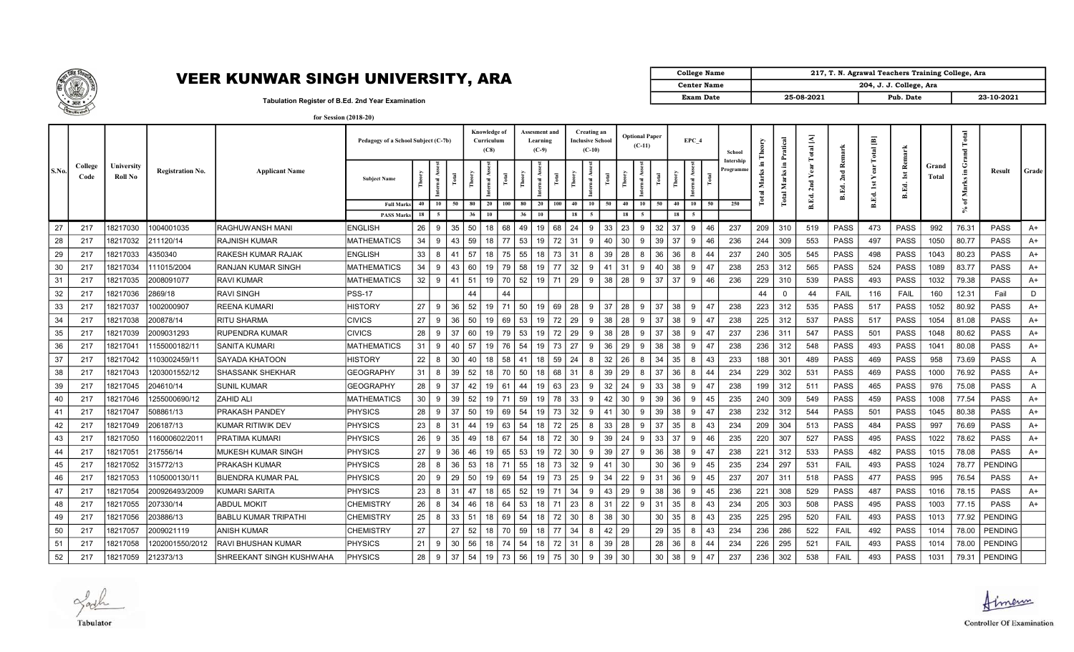

## VEER KUNWAR SINGH UNIVERSITY, ARA

| College Name       |            | 217, T. N. Agrawal Teachers Training College, Ara |            |
|--------------------|------------|---------------------------------------------------|------------|
| <b>Center Name</b> |            | 204, J. J. College, Ara                           |            |
| <b>Exam Date</b>   | 25-08-2021 | Pub. Date                                         | 23-10-2021 |

Tabulation Register of B.Ed. 2nd Year Examination

|          |                 |                              |                  |                             | Pedagogy of a School Subject (C-7b)    |          |         |          |           | Knowledge of<br>Curriculum<br>(C8) |                      | Assesment and<br>Learning<br>$(C-9)$ |     |          | <b>Creating an</b><br><b>Inclusive School</b><br>$(C-10)$ |    |          | <b>Optional Paper</b><br>$(C-11)$ |                |          | EPC 4          | School    |            | Pratical         | A     | 푼           | 画<br>Total          | ÷                 |                |       |                |          |  |
|----------|-----------------|------------------------------|------------------|-----------------------------|----------------------------------------|----------|---------|----------|-----------|------------------------------------|----------------------|--------------------------------------|-----|----------|-----------------------------------------------------------|----|----------|-----------------------------------|----------------|----------|----------------|-----------|------------|------------------|-------|-------------|---------------------|-------------------|----------------|-------|----------------|----------|--|
| S.No.    | College<br>Code | University<br><b>Roll No</b> | Registration No. | <b>Applicant Name</b>       | <b>Subject Name</b>                    |          | Ř<br>Ē  |          | Ě         | 目                                  | 론                    | -2                                   | 혼   | å        |                                                           | Ĕ  | Ĕ        |                                   | 혼              | 쥍        |                | Programme |            | Э.<br>Marks<br>귱 |       | ∝<br>2nd    | <b>ist</b><br>B.Ed. | ്<br>ist<br>B.Ed. | Grand<br>Total | Marks | Result         | Grade    |  |
|          |                 |                              |                  |                             | <b>Full Marks</b><br><b>PASS Marks</b> | 40<br>18 | 10      | 50       | 80<br>36  | 20<br>10                           | 100<br>80<br>36      | 20<br>10                             | 100 | 40<br>18 | 10<br>-5                                                  | 50 | 40<br>18 | 10                                | 50             | 40<br>18 | 10<br>50       | 250       |            |                  | B.Ed. |             |                     |                   |                | ិ     |                |          |  |
| 27       | 217             | 18217030                     | 1004001035       | RAGHUWANSH MANI             | <b>ENGLISH</b>                         | 26       | 9       | 35       | 50        | 18                                 | 68<br>49             | 19                                   | 68  | 24       | 9                                                         | 33 | 23       | 9                                 | 32<br>37       |          | 9<br>46        | 237       | 209        | 310              | 519   | PASS        | 473                 | <b>PASS</b>       | 992            | 76.31 | <b>PASS</b>    | A+       |  |
| 28       | 217             | 18217032                     | 211120/14        | <b>RAJNISH KUMAR</b>        | <b>MATHEMATICS</b>                     | 34       | 9       | 43       | 59        | 18                                 | 53<br>77             | 19                                   | 72  | 31       | 9                                                         | 40 | 30       | 9                                 | 39<br>37       |          | 9<br>46        | 236       | 244        | 309              | 553   | PASS        | 497                 | <b>PASS</b>       | 1050           | 80.77 | <b>PASS</b>    | A+       |  |
|          | 217             | 18217033                     | 4350340          | İRAKESH KUMAR RAJAK         | <b>ENGLISH</b>                         | 33       | 8       | 41       | 57        | 18                                 | 75 I<br>55           | 18                                   | 73  | 31       | 8                                                         | 39 | 28       |                                   | 36             |          | 8<br>44        | 237       | 240        | 305              | 545   | PASS        |                     | <b>PASS</b>       | 1043           | 80.23 | <b>PASS</b>    | A+       |  |
| 29<br>30 | 217             | 18217034                     | 11015/2004       | RANJAN KUMAR SINGH          | <b>MATHEMATICS</b>                     | 34       | 9       | 43       | 60        | 19                                 | 58<br>79             | 19                                   | 77  | 32       | 9                                                         | 41 | 31       | 8<br>9                            | 36<br>40<br>38 |          | -9             | 238       | 253        | 312              | 565   | <b>PASS</b> | 498<br>524          | <b>PASS</b>       | 1089           | 83.77 | <b>PASS</b>    |          |  |
| 31       | 217             | 18217035                     | 2008091077       | <b>RAVI KUMAR</b>           | <b>MATHEMATICS</b>                     | 32       | 9       | 41       | 51        | 19                                 | 70 52                | 19                                   | 71  | 29       | 9                                                         | 38 | 28       | 9                                 | 37<br>37       |          | 9<br>46        | 236       | 229        | 310              | 539   | <b>PASS</b> | 493                 | <b>PASS</b>       | 1032           | 79.38 | <b>PASS</b>    | A+<br>A+ |  |
| 32       |                 | 18217036                     | 2869/18          | <b>RAVI SINGH</b>           | <b>PSS-17</b>                          |          |         |          | 44        |                                    | 44                   |                                      |     |          |                                                           |    |          |                                   |                |          |                |           | 44         | $\Omega$         | 44    | <b>FAIL</b> | 116                 | FAIL              |                | 12.31 | Fail           | D        |  |
| 33       | 217             |                              |                  |                             | <b>HISTORY</b>                         | 27       | 9       | 36       | 52        |                                    | $\vert$ 50<br>71     |                                      | 69  |          |                                                           |    | 28       |                                   | 37<br>38       |          | 9<br>47        | 238       | 223        | 312              | 535   | PASS        | 517                 | <b>PASS</b>       | 160<br>1052    | 80.92 | <b>PASS</b>    |          |  |
|          | 217             | 18217037                     | 1002000907       | <b>REENA KUMARI</b>         |                                        |          |         |          |           | 19                                 |                      | 19                                   |     | 28       | 9                                                         | 37 |          | 9                                 |                |          |                |           |            |                  |       |             |                     |                   |                |       |                | A+       |  |
| 34       | 217             | 18217038                     | 200878/14        | <b>RITU SHARMA</b>          | <b>CIVICS</b>                          | 27       | 9<br>9. | 36<br>37 | -50<br>60 | 19<br>19                           | 53<br>69<br>53<br>79 | 19                                   | 72  | 29       | 9<br>9                                                    | 38 | 28       | -9                                | 37<br>38<br>37 |          | -9<br>47<br>9  | 238       | 225<br>236 | 312<br>311       | 537   | PASS        | 517                 | <b>PASS</b>       | 1054           | 81.08 | <b>PASS</b>    | A+       |  |
| 35       | 217             | 18217039                     | 2009031293       | <b>RUPENDRA KUMAR</b>       | <b>CIVICS</b>                          | 28       |         | 40       |           |                                    |                      | 19                                   | 72  | 29       | 9                                                         | 38 | 28       | 9                                 | 38             |          | 47<br>47<br>9  | 237       |            |                  | 547   | PASS        | 501                 | <b>PASS</b>       | 1048           | 80.62 | <b>PASS</b>    | A+       |  |
| 36       | 217             | 18217041                     | 155000182/11     | <b>SANITA KUMARI</b>        | <b>MATHEMATICS</b>                     | 31       | 9       |          | 57        | 19                                 | 54<br>76             | 19                                   | 73  | 27       |                                                           | 36 | 29       | 9                                 | 38<br>38       |          |                | 238       | 236        | 312              | 548   | PASS        | 493                 | <b>PASS</b>       | 1041           | 80.08 | <b>PASS</b>    | $A+$     |  |
| 37       | 217             | 18217042                     | 103002459/11     | <b>SAYADA KHATOON</b>       | <b>HISTORY</b>                         | 22       | 8       | 30       | 40        | 18                                 | 58<br>41             | 18                                   | 59  | 24       | 8                                                         | 32 | 26       | 8                                 | 34<br>35       |          | 43<br>-8       | 233       | 188        | 301              | 489   | PASS        | 469                 | <b>PASS</b>       | 958            | 73.69 | <b>PASS</b>    | A        |  |
| 38       | 217             | 18217043                     | 203001552/12     | SHASSANK SHEKHAR            | GEOGRAPHY                              | 31       | 8       | 39       | 52        | 18                                 | 50<br>70             | 18                                   | 68  | -31      | 8                                                         | 39 | 29       |                                   | 37<br>36       |          |                | 234       | 229        | 302              | 531   | <b>PASS</b> | 469                 | PASS              | 1000           | 76.92 | <b>PASS</b>    | A+       |  |
| 39       | 217             | 18217045                     | 204610/14        | <b>SUNIL KUMAR</b>          | <b>GEOGRAPHY</b>                       | 28       | 9       | 37       | 42        | 19                                 | 44<br>61             | 19                                   | 63  | 23       | 9                                                         | 32 | 24       | 9                                 | 33<br>38       |          | <b>q</b><br>47 | 238       | 199        | 312              | 511   | PASS        | 465                 | <b>PASS</b>       | 976            | 75.08 | <b>PASS</b>    | A        |  |
| 40       | 217             | 18217046                     | 255000690/12     | <b>ZAHID ALI</b>            | <b>MATHEMATICS</b>                     | 30       | 9       | 39       | 52 19     |                                    | 59<br>71             | 19                                   | 78  | 33       | 9                                                         | 42 | 30       | 9                                 | 39<br>36       |          | 9<br>45        | 235       | 240        | 309              | 549   | <b>PASS</b> | 459                 | <b>PASS</b>       | 1008           | 77.54 | <b>PASS</b>    | $A+$     |  |
| 41       | 217             | 18217047                     | 508861/13        | PRAKASH PANDEY              | PHYSICS                                | 28       | 9       | 37       | 50        | 19                                 | 54<br>69             | 19                                   | 73  | 32       | 9                                                         | 41 | 30       | 9                                 | 39<br>38       |          | -9             | 238       | 232        | 312              | 544   | PASS        | 501                 | <b>PASS</b>       | 1045           | 80.38 | <b>PASS</b>    | A+       |  |
| 42       | 217             | 18217049                     | 206187/13        | KUMAR RITIWIK DEV           | <b>PHYSICS</b>                         | 23       | 8       | 31       | 44        | 19                                 | 54<br>63             | 18                                   | 72  | 25       | 8                                                         | 33 | 28       |                                   | 37<br>35       |          | 8<br>43        | 234       | 209        | 304              | 513   | PASS        | 484                 | <b>PASS</b>       | 997            | 76.69 | <b>PASS</b>    | A+       |  |
| 43       | 217             | 18217050                     | 16000602/2011    | PRATIMA KUMARI              | <b>PHYSICS</b>                         | 26       | 9       | 35       | 49        | 18                                 | 54<br>67             | 18                                   | 72  | 30       | 9                                                         | 39 | 24       | 9                                 | 33<br>37       |          | 9<br>46        | 235       | 220        | 307              | 527   | PASS        | 495                 | <b>PASS</b>       | 1022           | 78.62 | <b>PASS</b>    | A+       |  |
| 44       | 217             | 18217051                     | 217556/14        | <b>MUKESH KUMAR SINGH</b>   | <b>PHYSICS</b>                         | 27       | 9       | 36       | 46 I      | 19                                 | 65 53                | 19                                   | 72  | 30       | 9                                                         | 39 | 27       | 9                                 | 36<br>38       |          | 9<br>47        | 238       | 221        | 312              | 533   | PASS        | 482                 | <b>PASS</b>       | 1015           | 78.08 | <b>PASS</b>    | A+       |  |
| 45       | 217             | 18217052                     | 315772/13        | <b>PRAKASH KUMAR</b>        | <b>PHYSICS</b>                         | 28       | 8       | 36       | 53        | 18                                 | 55<br>71             | 18                                   | 73  | 32       | 9                                                         | 41 | 30       |                                   | 30<br>36       |          | -9<br>45       | 235       | 234        | 297              | 531   | <b>FAIL</b> | 493                 | <b>PASS</b>       | 1024           | 78.77 | <b>PENDING</b> |          |  |
| 46       | 217             | 18217053                     | 105000130/11     | <b>BIJENDRA KUMAR PAL</b>   | <b>PHYSICS</b>                         | 20       | 9       | 29       | 50        | 19                                 | 69<br>54             | 19                                   | 73  | 25       | 9                                                         | 34 | 22       | 9                                 | 31<br>36       |          | 9<br>45        | 237       | 207        | 311              | 518   | <b>PASS</b> | 477                 | <b>PASS</b>       | 995            | 76.54 | <b>PASS</b>    | A+       |  |
| 47       | 217             | 18217054                     | 200926493/2009   | KUMARI SARITA               | <b>PHYSICS</b>                         | 23       | 8       | 31       | 47        | 18                                 | 52<br>65             | 19                                   | 71  | 34       | 9                                                         | 43 | 29       | 9                                 | 38             | 36       | 9<br>45        | 236       | 221        | 308              | 529   | PASS        | 487                 | <b>PASS</b>       | 1016           | 78.15 | <b>PASS</b>    | A+       |  |
| 48       | 217             | 18217055                     | 207330/14        | <b>ABDUL MOKIT</b>          | <b>CHEMISTRY</b>                       | 26       | 8       | 34       | 46 I      | 18                                 | 53<br>64             | 18                                   | 71  | 23       | 8                                                         | 31 | 22       | 9                                 | 31<br>35       |          | 8<br>43        | 234       | 205        | 303              | 508   | <b>PASS</b> | 495                 | PASS              | 1003           | 77.15 | <b>PASS</b>    | A+       |  |
| 49       | 217             | 18217056                     | 203886/13        | <b>BABLU KUMAR TRIPATHI</b> | <b>CHEMISTRY</b>                       | 25       | 8       | 33       | 51        | 18                                 | 54<br>69             | 18                                   | 72  | 30       | 8                                                         | 38 | 30       |                                   | 30             | 35       | 43<br>8        | 235       | 225        | 295              | 520   | FAIL        | 493                 | <b>PASS</b>       | 1013           | 77.92 | <b>PENDING</b> |          |  |
| 50       | 217             | 18217057                     | 2009021119       | ANISH KUMAR                 | <b>CHEMISTRY</b>                       | 27       |         | 27       | 52        | 18                                 | 59<br>70             | 18                                   | 77  | 34       | 8                                                         | 42 | 29       |                                   | 29             | 35       | 8<br>43        | 234       | 236        | 286              | 522   | FAIL        | 492                 | <b>PASS</b>       | 1014           | 78.00 | <b>PENDING</b> |          |  |
| 51       | 217             | 18217058                     | 202001550/2012   | <b>RAVI BHUSHAN KUMAR</b>   | PHYSICS                                | 21       | 9       | 30       | 56        | 18                                 | 54<br>74             | 18                                   | 72  | 31       | 8                                                         | 39 | 28       |                                   | 28<br>36       |          | 8<br>44        | 234       | 226        | 295              | 521   | FAIL        | 493                 | <b>PASS</b>       | 1014           | 78.00 | <b>PENDING</b> |          |  |
| 52       | 217             | 18217059                     | 212373/13        | SHREEKANT SINGH KUSHWAHA    | <b>PHYSICS</b>                         | 28       | 9       | 37       | 54        | 19                                 | 73 56                | 19                                   | 75  | 30       | 9                                                         | 39 | 30       |                                   | 30<br>38       |          | 9<br>47        | 237       | 236        | 302              | 538   | <b>FAIL</b> | 493                 | <b>PASS</b>       | 1031           | 79.31 | PENDING        |          |  |

Jack Tabulator